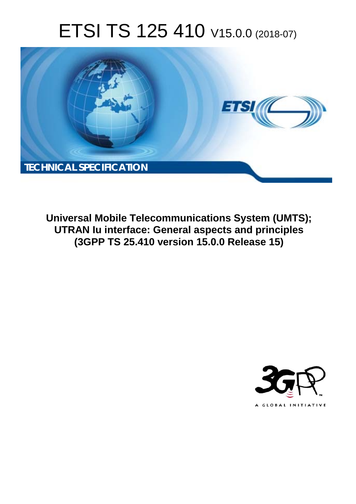# ETSI TS 125 410 V15.0.0 (2018-07)



**Universal Mobile Telecommunications System (UMTS); UTRAN Iu interface: General aspects and principles (3GPP TS 25.410 version 15.0.0 Release 15)** 

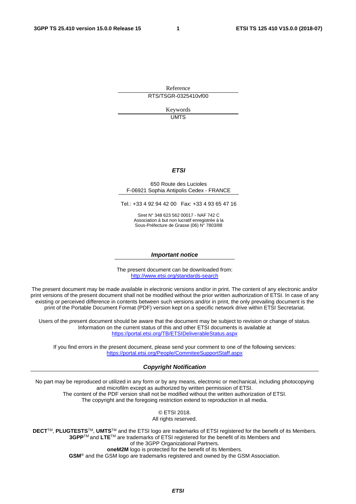Reference RTS/TSGR-0325410vf00

> Keywords UMTS

#### *ETSI*

#### 650 Route des Lucioles F-06921 Sophia Antipolis Cedex - FRANCE

Tel.: +33 4 92 94 42 00 Fax: +33 4 93 65 47 16

Siret N° 348 623 562 00017 - NAF 742 C Association à but non lucratif enregistrée à la Sous-Préfecture de Grasse (06) N° 7803/88

#### *Important notice*

The present document can be downloaded from: <http://www.etsi.org/standards-search>

The present document may be made available in electronic versions and/or in print. The content of any electronic and/or print versions of the present document shall not be modified without the prior written authorization of ETSI. In case of any existing or perceived difference in contents between such versions and/or in print, the only prevailing document is the print of the Portable Document Format (PDF) version kept on a specific network drive within ETSI Secretariat.

Users of the present document should be aware that the document may be subject to revision or change of status. Information on the current status of this and other ETSI documents is available at <https://portal.etsi.org/TB/ETSIDeliverableStatus.aspx>

If you find errors in the present document, please send your comment to one of the following services: <https://portal.etsi.org/People/CommiteeSupportStaff.aspx>

#### *Copyright Notification*

No part may be reproduced or utilized in any form or by any means, electronic or mechanical, including photocopying and microfilm except as authorized by written permission of ETSI. The content of the PDF version shall not be modified without the written authorization of ETSI. The copyright and the foregoing restriction extend to reproduction in all media.

> © ETSI 2018. All rights reserved.

**DECT**TM, **PLUGTESTS**TM, **UMTS**TM and the ETSI logo are trademarks of ETSI registered for the benefit of its Members. **3GPP**TM and **LTE**TM are trademarks of ETSI registered for the benefit of its Members and of the 3GPP Organizational Partners. **oneM2M** logo is protected for the benefit of its Members.

**GSM**® and the GSM logo are trademarks registered and owned by the GSM Association.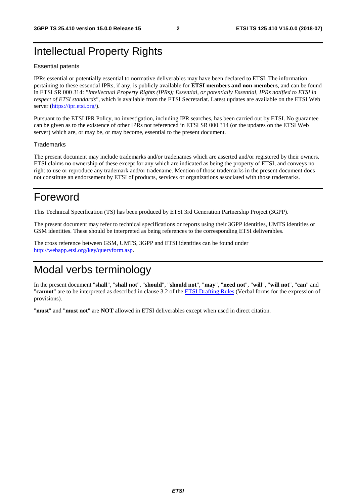# Intellectual Property Rights

#### Essential patents

IPRs essential or potentially essential to normative deliverables may have been declared to ETSI. The information pertaining to these essential IPRs, if any, is publicly available for **ETSI members and non-members**, and can be found in ETSI SR 000 314: *"Intellectual Property Rights (IPRs); Essential, or potentially Essential, IPRs notified to ETSI in respect of ETSI standards"*, which is available from the ETSI Secretariat. Latest updates are available on the ETSI Web server ([https://ipr.etsi.org/\)](https://ipr.etsi.org/).

Pursuant to the ETSI IPR Policy, no investigation, including IPR searches, has been carried out by ETSI. No guarantee can be given as to the existence of other IPRs not referenced in ETSI SR 000 314 (or the updates on the ETSI Web server) which are, or may be, or may become, essential to the present document.

#### **Trademarks**

The present document may include trademarks and/or tradenames which are asserted and/or registered by their owners. ETSI claims no ownership of these except for any which are indicated as being the property of ETSI, and conveys no right to use or reproduce any trademark and/or tradename. Mention of those trademarks in the present document does not constitute an endorsement by ETSI of products, services or organizations associated with those trademarks.

# Foreword

This Technical Specification (TS) has been produced by ETSI 3rd Generation Partnership Project (3GPP).

The present document may refer to technical specifications or reports using their 3GPP identities, UMTS identities or GSM identities. These should be interpreted as being references to the corresponding ETSI deliverables.

The cross reference between GSM, UMTS, 3GPP and ETSI identities can be found under [http://webapp.etsi.org/key/queryform.asp.](http://webapp.etsi.org/key/queryform.asp)

# Modal verbs terminology

In the present document "**shall**", "**shall not**", "**should**", "**should not**", "**may**", "**need not**", "**will**", "**will not**", "**can**" and "**cannot**" are to be interpreted as described in clause 3.2 of the [ETSI Drafting Rules](https://portal.etsi.org/Services/editHelp!/Howtostart/ETSIDraftingRules.aspx) (Verbal forms for the expression of provisions).

"**must**" and "**must not**" are **NOT** allowed in ETSI deliverables except when used in direct citation.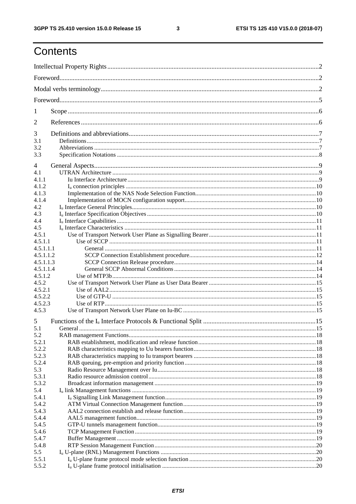$\mathbf{3}$ 

# Contents

| 1         |         |  |  |  |  |
|-----------|---------|--|--|--|--|
| 2         |         |  |  |  |  |
| 3         |         |  |  |  |  |
| 3.1       |         |  |  |  |  |
| 3.2       |         |  |  |  |  |
| 3.3       |         |  |  |  |  |
| 4         |         |  |  |  |  |
| 4.1       |         |  |  |  |  |
| 4.1.1     |         |  |  |  |  |
| 4.1.2     |         |  |  |  |  |
| 4.1.3     |         |  |  |  |  |
| 4.1.4     |         |  |  |  |  |
| 4.2       |         |  |  |  |  |
| 4.3       |         |  |  |  |  |
| 4.4       |         |  |  |  |  |
| 4.5       |         |  |  |  |  |
| 4.5.1     |         |  |  |  |  |
| 4.5.1.1   |         |  |  |  |  |
| 4.5.1.1.1 |         |  |  |  |  |
| 4.5.1.1.2 |         |  |  |  |  |
| 4.5.1.1.3 |         |  |  |  |  |
| 4.5.1.1.4 |         |  |  |  |  |
| 4.5.1.2   |         |  |  |  |  |
| 4.5.2     |         |  |  |  |  |
| 4.5.2.1   |         |  |  |  |  |
| 4.5.2.2   |         |  |  |  |  |
| 4.5.2.3   |         |  |  |  |  |
| 4.5.3     |         |  |  |  |  |
| 5         |         |  |  |  |  |
| 5.1       | General |  |  |  |  |
| 5.2       |         |  |  |  |  |
| 5.2.1     |         |  |  |  |  |
| 5.2.2     |         |  |  |  |  |
| 5.2.3     |         |  |  |  |  |
| 5.2.4     |         |  |  |  |  |
| 5.3       |         |  |  |  |  |
| 5.3.1     |         |  |  |  |  |
| 5.3.2     |         |  |  |  |  |
| 5.4       |         |  |  |  |  |
| 5.4.1     |         |  |  |  |  |
| 5.4.2     |         |  |  |  |  |
| 5.4.3     |         |  |  |  |  |
| 5.4.4     |         |  |  |  |  |
| 5.4.5     |         |  |  |  |  |
| 5.4.6     |         |  |  |  |  |
| 5.4.7     |         |  |  |  |  |
| 5.4.8     |         |  |  |  |  |
| 5.5       |         |  |  |  |  |
| 5.5.1     |         |  |  |  |  |
| 5.5.2     |         |  |  |  |  |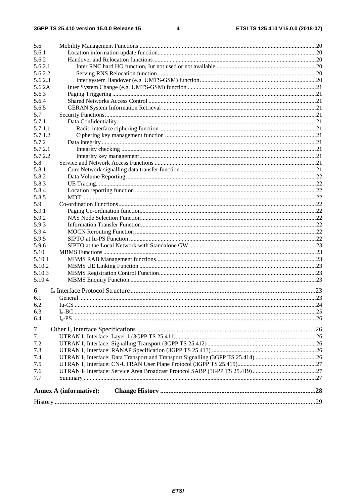| 5.6     |                               |  |
|---------|-------------------------------|--|
| 5.6.1   |                               |  |
| 5.6.2   |                               |  |
| 5.6.2.1 |                               |  |
| 5.6.2.2 |                               |  |
| 5.6.2.3 |                               |  |
| 5.6.2A  |                               |  |
| 5.6.3   |                               |  |
| 5.6.4   |                               |  |
| 5.6.5   |                               |  |
| 5.7     |                               |  |
| 5.7.1   |                               |  |
| 5.7.1.1 |                               |  |
| 5.7.1.2 |                               |  |
| 5.7.2   |                               |  |
| 5.7.2.1 |                               |  |
| 5.7.2.2 |                               |  |
| 5.8     |                               |  |
| 5.8.1   |                               |  |
| 5.8.2   |                               |  |
| 5.8.3   |                               |  |
| 5.8.4   |                               |  |
| 5.8.5   |                               |  |
| 5.9     |                               |  |
| 5.9.1   |                               |  |
| 5.9.2   |                               |  |
| 5.9.3   |                               |  |
| 5.9.4   |                               |  |
| 5.9.5   |                               |  |
| 5.9.6   |                               |  |
| 5.10    |                               |  |
| 5.10.1  |                               |  |
| 5.10.2  |                               |  |
| 5.10.3  |                               |  |
| 5.10.4  |                               |  |
|         |                               |  |
| 6       |                               |  |
| 6.1     |                               |  |
| 6.2     |                               |  |
| 6.3     |                               |  |
| 6.4     |                               |  |
| $\tau$  |                               |  |
| 7.1     |                               |  |
| 7.2     |                               |  |
| 7.3     |                               |  |
| 7.4     |                               |  |
| 7.5     |                               |  |
| 7.6     |                               |  |
| 7.7     |                               |  |
|         |                               |  |
|         | <b>Annex A (informative):</b> |  |
|         |                               |  |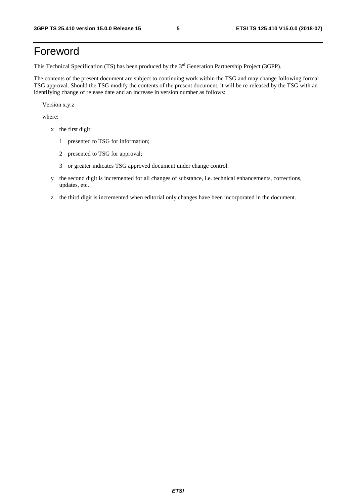# Foreword

This Technical Specification (TS) has been produced by the 3<sup>rd</sup> Generation Partnership Project (3GPP).

The contents of the present document are subject to continuing work within the TSG and may change following formal TSG approval. Should the TSG modify the contents of the present document, it will be re-released by the TSG with an identifying change of release date and an increase in version number as follows:

Version x.y.z

where:

- x the first digit:
	- 1 presented to TSG for information;
	- 2 presented to TSG for approval;
	- 3 or greater indicates TSG approved document under change control.
- y the second digit is incremented for all changes of substance, i.e. technical enhancements, corrections, updates, etc.
- z the third digit is incremented when editorial only changes have been incorporated in the document.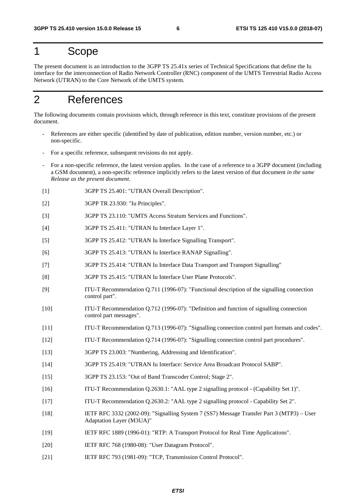# 1 Scope

The present document is an introduction to the 3GPP TS 25.41x series of Technical Specifications that define the Iu interface for the interconnection of Radio Network Controller (RNC) component of the UMTS Terrestrial Radio Access Network (UTRAN) to the Core Network of the UMTS system.

# 2 References

The following documents contain provisions which, through reference in this text, constitute provisions of the present document.

- References are either specific (identified by date of publication, edition number, version number, etc.) or non-specific.
- For a specific reference, subsequent revisions do not apply.
- For a non-specific reference, the latest version applies. In the case of a reference to a 3GPP document (including a GSM document), a non-specific reference implicitly refers to the latest version of that document *in the same Release as the present document*.
- [1] 3GPP TS 25.401: "UTRAN Overall Description".
- [2] 3GPP TR 23.930: "Iu Principles".
- [3] 3GPP TS 23.110: "UMTS Access Stratum Services and Functions".
- [4] 3GPP TS 25.411: "UTRAN Iu Interface Layer 1".
- [5] 3GPP TS 25.412: "UTRAN Iu Interface Signalling Transport".
- [6] 3GPP TS 25.413: "UTRAN Iu Interface RANAP Signalling".
- [7] 3GPP TS 25.414: "UTRAN Iu Interface Data Transport and Transport Signalling"
- [8] 3GPP TS 25.415: "UTRAN Iu Interface User Plane Protocols".
- [9] ITU-T Recommendation Q.711 (1996-07): "Functional description of the signalling connection control part".
- [10] ITU-T Recommendation Q.712 (1996-07): "Definition and function of signalling connection control part messages".
- [11] ITU-T Recommendation Q.713 (1996-07): "Signalling connection control part formats and codes".
- [12] ITU-T Recommendation Q.714 (1996-07): "Signalling connection control part procedures".
- [13] 3GPP TS 23.003: "Numbering, Addressing and Identification".
- [14] 3GPP TS 25.419: "UTRAN Iu Interface: Service Area Broadcast Protocol SABP".
- [15] 3GPP TS 23.153: "Out of Band Transcoder Control; Stage 2".
- [16] ITU-T Recommendation Q.2630.1: "AAL type 2 signalling protocol (Capability Set 1)".
- [17] ITU-T Recommendation Q.2630.2: "AAL type 2 signalling protocol Capability Set 2".
- [18] IETF RFC 3332 (2002-09): "Signalling System 7 (SS7) Message Transfer Part 3 (MTP3) User Adaptation Layer (M3UA)"
- [19] IETF RFC 1889 (1996-01): "RTP: A Transport Protocol for Real Time Applications".
- [20] IETF RFC 768 (1980-08): "User Datagram Protocol".
- [21] **IETF RFC 793 (1981-09): "TCP, Transmission Control Protocol".**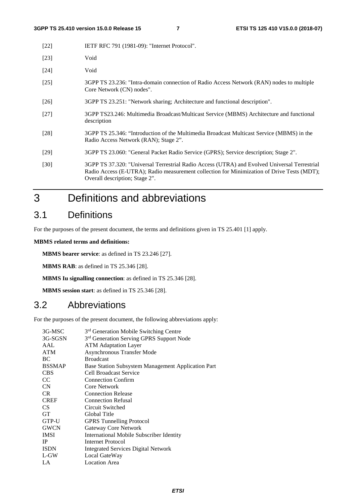| $[22]$ | IETF RFC 791 (1981-09): "Internet Protocol".                                                                                                                                                                                 |
|--------|------------------------------------------------------------------------------------------------------------------------------------------------------------------------------------------------------------------------------|
| $[23]$ | Void                                                                                                                                                                                                                         |
| $[24]$ | Void                                                                                                                                                                                                                         |
| $[25]$ | 3GPP TS 23.236: "Intra-domain connection of Radio Access Network (RAN) nodes to multiple<br>Core Network (CN) nodes".                                                                                                        |
| [26]   | 3GPP TS 23.251: "Network sharing; Architecture and functional description".                                                                                                                                                  |
| [27]   | 3GPP TS23.246: Multimedia Broadcast/Multicast Service (MBMS) Architecture and functional<br>description                                                                                                                      |
| [28]   | 3GPP TS 25.346: "Introduction of the Multimedia Broadcast Multicast Service (MBMS) in the<br>Radio Access Network (RAN); Stage 2".                                                                                           |
| [29]   | 3GPP TS 23.060: "General Packet Radio Service (GPRS); Service description; Stage 2".                                                                                                                                         |
| [30]   | 3GPP TS 37.320: "Universal Terrestrial Radio Access (UTRA) and Evolved Universal Terrestrial<br>Radio Access (E-UTRA); Radio measurement collection for Minimization of Drive Tests (MDT);<br>Overall description; Stage 2". |

3 Definitions and abbreviations

## 3.1 Definitions

For the purposes of the present document, the terms and definitions given in TS 25.401 [1] apply.

**MBMS related terms and definitions:** 

**MBMS bearer service**: as defined in TS 23.246 [27].

**MBMS RAB**: as defined in TS 25.346 [28].

**MBMS Iu signalling connection**: as defined in TS 25.346 [28].

**MBMS session start**: as defined in TS 25.346 [28].

### 3.2 Abbreviations

For the purposes of the present document, the following abbreviations apply:

| 3G-MSC        | 3 <sup>rd</sup> Generation Mobile Switching Centre   |
|---------------|------------------------------------------------------|
| 3G-SGSN       | 3 <sup>rd</sup> Generation Serving GPRS Support Node |
| AAL           | <b>ATM Adaptation Layer</b>                          |
| <b>ATM</b>    | Asynchronous Transfer Mode                           |
| BC            | <b>Broadcast</b>                                     |
| <b>BSSMAP</b> | Base Station Subsystem Management Application Part   |
| <b>CBS</b>    | Cell Broadcast Service                               |
| CC.           | <b>Connection Confirm</b>                            |
| CN            | Core Network                                         |
| CR.           | <b>Connection Release</b>                            |
| <b>CREF</b>   | <b>Connection Refusal</b>                            |
| CS.           | Circuit Switched                                     |
| <b>GT</b>     | Global Title                                         |
| GTP-U         | <b>GPRS</b> Tunnelling Protocol                      |
| <b>GWCN</b>   | Gateway Core Network                                 |
| <b>IMSI</b>   | International Mobile Subscriber Identity             |
| <b>IP</b>     | Internet Protocol                                    |
| <b>ISDN</b>   | <b>Integrated Services Digital Network</b>           |
| L-GW          | Local GateWay                                        |
| LA            | <b>Location Area</b>                                 |
|               |                                                      |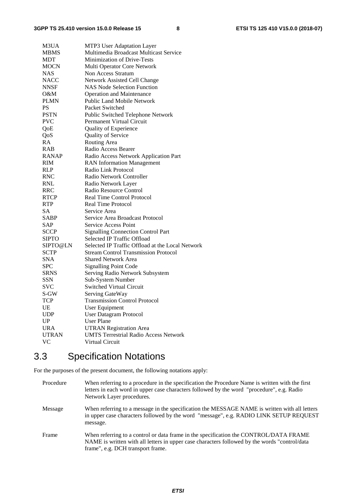| M3UA         | MTP3 User Adaptation Layer                       |
|--------------|--------------------------------------------------|
| <b>MBMS</b>  | Multimedia Broadcast Multicast Service           |
| MDT          | <b>Minimization of Drive-Tests</b>               |
| <b>MOCN</b>  | Multi Operator Core Network                      |
| NAS          | Non Access Stratum                               |
| <b>NACC</b>  | Network Assisted Cell Change                     |
| NNSF         | <b>NAS Node Selection Function</b>               |
| 0&M          | <b>Operation and Maintenance</b>                 |
| <b>PLMN</b>  | <b>Public Land Mobile Network</b>                |
| <b>PS</b>    | Packet Switched                                  |
| <b>PSTN</b>  | Public Switched Telephone Network                |
| <b>PVC</b>   | Permanent Virtual Circuit                        |
| QoE          | <b>Quality of Experience</b>                     |
| QoS          | Quality of Service                               |
| RA           | Routing Area                                     |
| RAB          | Radio Access Bearer                              |
| <b>RANAP</b> | Radio Access Network Application Part            |
| <b>RIM</b>   | <b>RAN</b> Information Management                |
| RLP          | Radio Link Protocol                              |
| <b>RNC</b>   | Radio Network Controller                         |
| <b>RNL</b>   | Radio Network Layer                              |
| <b>RRC</b>   | Radio Resource Control                           |
| <b>RTCP</b>  | <b>Real Time Control Protocol</b>                |
| <b>RTP</b>   | <b>Real Time Protocol</b>                        |
| SА           | Service Area                                     |
| SABP         | Service Area Broadcast Protocol                  |
| SAP          | Service Access Point                             |
| <b>SCCP</b>  | <b>Signalling Connection Control Part</b>        |
| <b>SIPTO</b> | Selected IP Traffic Offload                      |
| SIPTO@LN     | Selected IP Traffic Offload at the Local Network |
| <b>SCTP</b>  | <b>Stream Control Transmission Protocol</b>      |
| <b>SNA</b>   | <b>Shared Network Area</b>                       |
| <b>SPC</b>   | <b>Signalling Point Code</b>                     |
| <b>SRNS</b>  | Serving Radio Network Subsystem                  |
| <b>SSN</b>   | Sub-System Number                                |
| <b>SVC</b>   | <b>Switched Virtual Circuit</b>                  |
| S-GW         | Serving GateWay                                  |
| <b>TCP</b>   | <b>Transmission Control Protocol</b>             |
| UE           | User Equipment                                   |
| <b>UDP</b>   | <b>User Datagram Protocol</b>                    |
| UP           | <b>User Plane</b>                                |
| <b>URA</b>   | <b>UTRAN Registration Area</b>                   |
| <b>UTRAN</b> | <b>UMTS Terrestrial Radio Access Network</b>     |
| VC           | Virtual Circuit                                  |

# 3.3 Specification Notations

For the purposes of the present document, the following notations apply:

Procedure When referring to a procedure in the specification the Procedure Name is written with the first letters in each word in upper case characters followed by the word "procedure", e.g. Radio Network Layer procedures. Message When referring to a message in the specification the MESSAGE NAME is written with all letters in upper case characters followed by the word "message", e.g. RADIO LINK SETUP REQUEST message. Frame When referring to a control or data frame in the specification the CONTROL/DATA FRAME NAME is written with all letters in upper case characters followed by the words "control/data frame", e.g. DCH transport frame.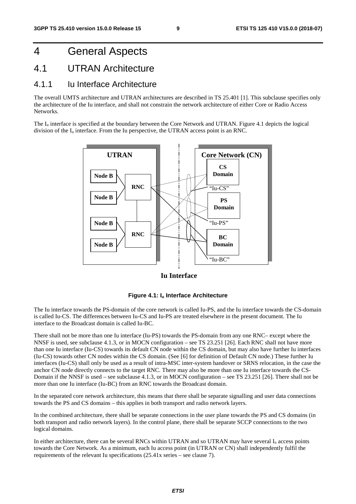# 4 General Aspects

### 4.1 UTRAN Architecture

#### 4.1.1 Iu Interface Architecture

The overall UMTS architecture and UTRAN architectures are described in TS 25.401 [1]. This subclause specifies only the architecture of the Iu interface, and shall not constrain the network architecture of either Core or Radio Access **Networks** 

The  $I_u$  interface is specified at the boundary between the Core Network and UTRAN. Figure 4.1 depicts the logical division of the  $I_u$  interface. From the Iu perspective, the UTRAN access point is an RNC.



#### **Iu Interface**

#### **Figure 4.1: Iu Interface Architecture**

The Iu interface towards the PS-domain of the core network is called Iu-PS, and the Iu interface towards the CS-domain is called Iu-CS. The differences between Iu-CS and Iu-PS are treated elsewhere in the present document. The Iu interface to the Broadcast domain is called Iu-BC.

There shall not be more than one Iu interface (Iu-PS) towards the PS-domain from any one RNC– except where the NNSF is used, see subclause 4.1.3, or in MOCN configuration – see TS 23.251 [26]. Each RNC shall not have more than one Iu interface (Iu-CS) towards its default CN node within the CS domain, but may also have further Iu interfaces (Iu-CS) towards other CN nodes within the CS domain. (See [6] for definition of Default CN node.) These further Iu interfaces (Iu-CS) shall only be used as a result of intra-MSC inter-system handover or SRNS relocation, in the case the anchor CN node directly connects to the target RNC. There may also be more than one Iu interface towards the CS-Domain if the NNSF is used – see subclause 4.1.3, or in MOCN configuration – see TS 23.251 [26]. There shall not be more than one Iu interface (Iu-BC) from an RNC towards the Broadcast domain.

In the separated core network architecture, this means that there shall be separate signalling and user data connections towards the PS and CS domains – this applies in both transport and radio network layers.

In the combined architecture, there shall be separate connections in the user plane towards the PS and CS domains (in both transport and radio network layers). In the control plane, there shall be separate SCCP connections to the two logical domains.

In either architecture, there can be several RNCs within UTRAN and so UTRAN may have several  $I_u$  access points towards the Core Network. As a minimum, each Iu access point (in UTRAN or CN) shall independently fulfil the requirements of the relevant Iu specifications (25.41x series – see clause 7).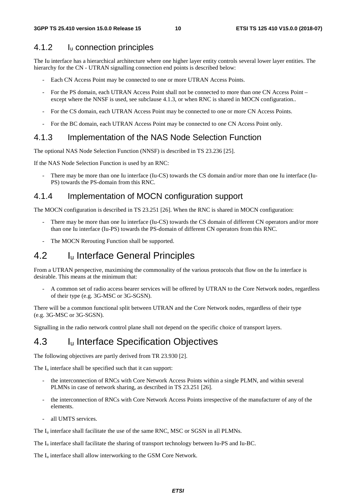#### 4.1.2 Iu connection principles

The Iu interface has a hierarchical architecture where one higher layer entity controls several lower layer entities. The hierarchy for the CN - UTRAN signalling connection end points is described below:

- Each CN Access Point may be connected to one or more UTRAN Access Points.
- For the PS domain, each UTRAN Access Point shall not be connected to more than one CN Access Point except where the NNSF is used, see subclause 4.1.3, or when RNC is shared in MOCN configuration..
- For the CS domain, each UTRAN Access Point may be connected to one or more CN Access Points.
- For the BC domain, each UTRAN Access Point may be connected to one CN Access Point only.

#### 4.1.3 Implementation of the NAS Node Selection Function

The optional NAS Node Selection Function (NNSF) is described in TS 23.236 [25].

If the NAS Node Selection Function is used by an RNC:

- There may be more than one Iu interface (Iu-CS) towards the CS domain and/or more than one Iu interface (Iu-PS) towards the PS-domain from this RNC.

#### 4.1.4 Implementation of MOCN configuration support

The MOCN configuration is described in TS 23.251 [26]. When the RNC is shared in MOCN configuration:

- There may be more than one Iu interface (Iu-CS) towards the CS domain of different CN operators and/or more than one Iu interface (Iu-PS) towards the PS-domain of different CN operators from this RNC.
- The MOCN Rerouting Function shall be supported.

### 4.2 Iu Interface General Principles

From a UTRAN perspective, maximising the commonality of the various protocols that flow on the Iu interface is desirable. This means at the minimum that:

- A common set of radio access bearer services will be offered by UTRAN to the Core Network nodes, regardless of their type (e.g. 3G-MSC or 3G-SGSN).

There will be a common functional split between UTRAN and the Core Network nodes, regardless of their type (e.g. 3G-MSC or 3G-SGSN).

Signalling in the radio network control plane shall not depend on the specific choice of transport layers.

### 4.3 Iu Interface Specification Objectives

The following objectives are partly derived from TR 23.930 [2].

The I<sub>u</sub> interface shall be specified such that it can support:

- the interconnection of RNCs with Core Network Access Points within a single PLMN, and within several PLMNs in case of network sharing, as described in TS 23.251 [26].
- the interconnection of RNCs with Core Network Access Points irrespective of the manufacturer of any of the elements.
- all UMTS services.

The I<sub>u</sub> interface shall facilitate the use of the same RNC, MSC or SGSN in all PLMNs.

The Iu interface shall facilitate the sharing of transport technology between Iu-PS and Iu-BC.

The  $I_{\text{u}}$  interface shall allow interworking to the GSM Core Network.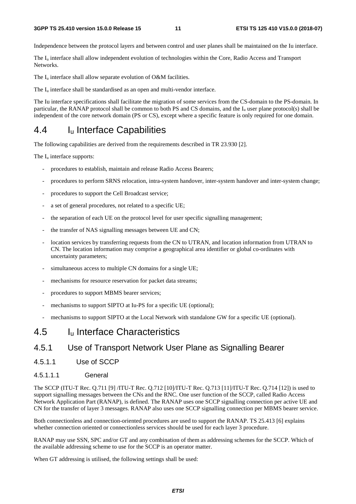#### **3GPP TS 25.410 version 15.0.0 Release 15 11 ETSI TS 125 410 V15.0.0 (2018-07)**

Independence between the protocol layers and between control and user planes shall be maintained on the Iu interface.

The Iu interface shall allow independent evolution of technologies within the Core, Radio Access and Transport Networks.

The  $I_u$  interface shall allow separate evolution of O&M facilities.

The  $I_{\text{u}}$  interface shall be standardised as an open and multi-vendor interface.

The Iu interface specifications shall facilitate the migration of some services from the CS-domain to the PS-domain. In particular, the RANAP protocol shall be common to both PS and CS domains, and the  $I<sub>u</sub>$  user plane protocol(s) shall be independent of the core network domain (PS or CS), except where a specific feature is only required for one domain.

# 4.4 Iu Interface Capabilities

The following capabilities are derived from the requirements described in TR 23.930 [2].

The  $I_{\text{u}}$  interface supports:

- procedures to establish, maintain and release Radio Access Bearers;
- procedures to perform SRNS relocation, intra-system handover, inter-system handover and inter-system change;
- procedures to support the Cell Broadcast service;
- a set of general procedures, not related to a specific UE;
- the separation of each UE on the protocol level for user specific signalling management;
- the transfer of NAS signalling messages between UE and CN;
- location services by transferring requests from the CN to UTRAN, and location information from UTRAN to CN. The location information may comprise a geographical area identifier or global co-ordinates with uncertainty parameters;
- simultaneous access to multiple CN domains for a single UE;
- mechanisms for resource reservation for packet data streams;
- procedures to support MBMS bearer services;
- mechanisms to support SIPTO at Iu-PS for a specific UE (optional);
- mechanisms to support SIPTO at the Local Network with standalone GW for a specific UE (optional).

### 4.5 Iu Interface Characteristics

### 4.5.1 Use of Transport Network User Plane as Signalling Bearer

- 4.5.1.1 Use of SCCP
- 4.5.1.1.1 General

The SCCP (ITU-T Rec. Q.711 [9] /ITU-T Rec. Q.712 [10]/ITU-T Rec. Q.713 [11]/ITU-T Rec. Q.714 [12]) is used to support signalling messages between the CNs and the RNC. One user function of the SCCP, called Radio Access Network Application Part (RANAP), is defined. The RANAP uses one SCCP signalling connection per active UE and CN for the transfer of layer 3 messages. RANAP also uses one SCCP signalling connection per MBMS bearer service.

Both connectionless and connection-oriented procedures are used to support the RANAP. TS 25.413 [6] explains whether connection oriented or connectionless services should be used for each layer 3 procedure.

RANAP may use SSN, SPC and/or GT and any combination of them as addressing schemes for the SCCP. Which of the available addressing scheme to use for the SCCP is an operator matter.

When GT addressing is utilised, the following settings shall be used: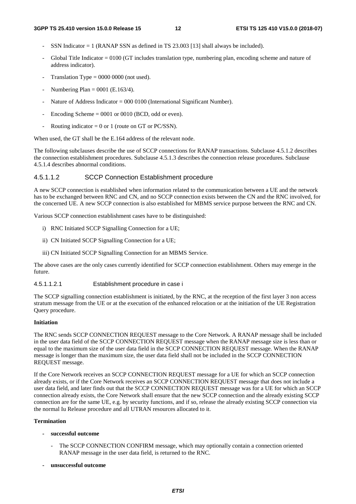- SSN Indicator  $= 1$  (RANAP SSN as defined in TS 23.003 [13] shall always be included).
- Global Title Indicator  $= 0100$  (GT includes translation type, numbering plan, encoding scheme and nature of address indicator).
- Translation Type  $= 0000 0000$  (not used).
- Numbering Plan =  $0001$  (E.163/4).
- Nature of Address Indicator = 000 0100 (International Significant Number).
- Encoding Scheme  $= 0001$  or 0010 (BCD, odd or even).
- Routing indicator =  $0$  or 1 (route on GT or PC/SSN).

When used, the GT shall be the E.164 address of the relevant node.

The following subclauses describe the use of SCCP connections for RANAP transactions. Subclause 4.5.1.2 describes the connection establishment procedures. Subclause 4.5.1.3 describes the connection release procedures. Subclause 4.5.1.4 describes abnormal conditions.

#### 4.5.1.1.2 SCCP Connection Establishment procedure

A new SCCP connection is established when information related to the communication between a UE and the network has to be exchanged between RNC and CN, and no SCCP connection exists between the CN and the RNC involved, for the concerned UE. A new SCCP connection is also established for MBMS service purpose between the RNC and CN.

Various SCCP connection establishment cases have to be distinguished:

- i) RNC Initiated SCCP Signalling Connection for a UE;
- ii) CN Initiated SCCP Signalling Connection for a UE;
- iii) CN Initiated SCCP Signalling Connection for an MBMS Service.

The above cases are the only cases currently identified for SCCP connection establishment. Others may emerge in the future.

4.5.1.1.2.1 Establishment procedure in case i

The SCCP signalling connection establishment is initiated, by the RNC, at the reception of the first layer 3 non access stratum message from the UE or at the execution of the enhanced relocation or at the initiation of the UE Registration Query procedure.

#### **Initiation**

The RNC sends SCCP CONNECTION REQUEST message to the Core Network. A RANAP message shall be included in the user data field of the SCCP CONNECTION REQUEST message when the RANAP message size is less than or equal to the maximum size of the user data field in the SCCP CONNECTION REQUEST message. When the RANAP message is longer than the maximum size, the user data field shall not be included in the SCCP CONNECTION REQUEST message.

If the Core Network receives an SCCP CONNECTION REQUEST message for a UE for which an SCCP connection already exists, or if the Core Network receives an SCCP CONNECTION REQUEST message that does not include a user data field, and later finds out that the SCCP CONNECTION REQUEST message was for a UE for which an SCCP connection already exists, the Core Network shall ensure that the new SCCP connection and the already existing SCCP connection are for the same UE, e.g. by security functions, and if so, release the already existing SCCP connection via the normal Iu Release procedure and all UTRAN resources allocated to it.

#### **Termination**

- **successful outcome** 
	- The SCCP CONNECTION CONFIRM message, which may optionally contain a connection oriented RANAP message in the user data field, is returned to the RNC.
- **unsuccessful outcome**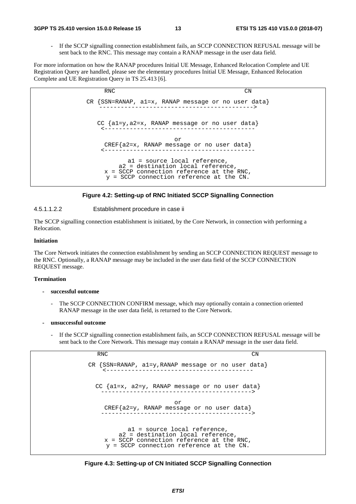#### **3GPP TS 25.410 version 15.0.0 Release 15 13 ETSI TS 125 410 V15.0.0 (2018-07)**

If the SCCP signalling connection establishment fails, an SCCP CONNECTION REFUSAL message will be sent back to the RNC. This message may contain a RANAP message in the user data field.

For more information on how the RANAP procedures Initial UE Message, Enhanced Relocation Complete and UE Registration Query are handled, please see the elementary procedures Initial UE Message, Enhanced Relocation Complete and UE Registration Query in TS 25.413 [6].



#### **Figure 4.2: Setting-up of RNC Initiated SCCP Signalling Connection**

4.5.1.1.2.2 Establishment procedure in case ii

The SCCP signalling connection establishment is initiated, by the Core Network, in connection with performing a Relocation.

#### **Initiation**

The Core Network initiates the connection establishment by sending an SCCP CONNECTION REQUEST message to the RNC. Optionally, a RANAP message may be included in the user data field of the SCCP CONNECTION REQUEST message.

#### **Termination**

- **successful outcome** 
	- The SCCP CONNECTION CONFIRM message, which may optionally contain a connection oriented RANAP message in the user data field, is returned to the Core Network.
- **unsuccessful outcome** 
	- If the SCCP signalling connection establishment fails, an SCCP CONNECTION REFUSAL message will be sent back to the Core Network. This message may contain a RANAP message in the user data field.

RNC CN CR {SSN=RANAP, a1=y,RANAP message or no user data} <----------------------------------------- CC {a1=x, a2=y, RANAP message or no user data} ------------------------------------------> or CREF{a2=y, RANAP message or no user data} ------------------------------------------> a1 = source local reference, a2 = destination local reference, x = SCCP connection reference at the RNC, y = SCCP connection reference at the CN.

**Figure 4.3: Setting-up of CN Initiated SCCP Signalling Connection**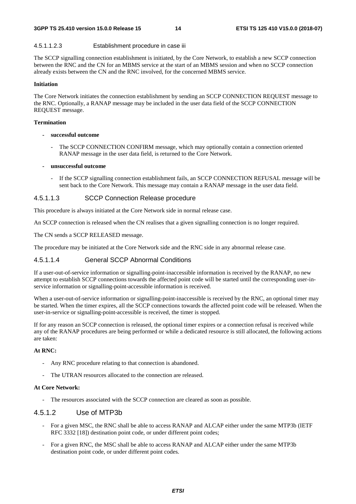#### 4.5.1.1.2.3 Establishment procedure in case iii

The SCCP signalling connection establishment is initiated, by the Core Network, to establish a new SCCP connection between the RNC and the CN for an MBMS service at the start of an MBMS session and when no SCCP connection already exists between the CN and the RNC involved, for the concerned MBMS service.

#### **Initiation**

The Core Network initiates the connection establishment by sending an SCCP CONNECTION REQUEST message to the RNC. Optionally, a RANAP message may be included in the user data field of the SCCP CONNECTION REQUEST message.

#### **Termination**

- **successful outcome** 
	- The SCCP CONNECTION CONFIRM message, which may optionally contain a connection oriented RANAP message in the user data field, is returned to the Core Network.

#### **- unsuccessful outcome**

- If the SCCP signalling connection establishment fails, an SCCP CONNECTION REFUSAL message will be sent back to the Core Network. This message may contain a RANAP message in the user data field.

#### 4.5.1.1.3 SCCP Connection Release procedure

This procedure is always initiated at the Core Network side in normal release case.

An SCCP connection is released when the CN realises that a given signalling connection is no longer required.

The CN sends a SCCP RELEASED message.

The procedure may be initiated at the Core Network side and the RNC side in any abnormal release case.

#### 4.5.1.1.4 General SCCP Abnormal Conditions

If a user-out-of-service information or signalling-point-inaccessible information is received by the RANAP, no new attempt to establish SCCP connections towards the affected point code will be started until the corresponding user-inservice information or signalling-point-accessible information is received.

When a user-out-of-service information or signalling-point-inaccessible is received by the RNC, an optional timer may be started. When the timer expires, all the SCCP connections towards the affected point code will be released. When the user-in-service or signalling-point-accessible is received, the timer is stopped.

If for any reason an SCCP connection is released, the optional timer expires or a connection refusal is received while any of the RANAP procedures are being performed or while a dedicated resource is still allocated, the following actions are taken:

#### **At RNC:**

- Any RNC procedure relating to that connection is abandoned.
- The UTRAN resources allocated to the connection are released.

#### **At Core Network:**

- The resources associated with the SCCP connection are cleared as soon as possible.

#### 4.5.1.2 Use of MTP3b

- For a given MSC, the RNC shall be able to access RANAP and ALCAP either under the same MTP3b (IETF RFC 3332 [18]) destination point code, or under different point codes;
- For a given RNC, the MSC shall be able to access RANAP and ALCAP either under the same MTP3b destination point code, or under different point codes.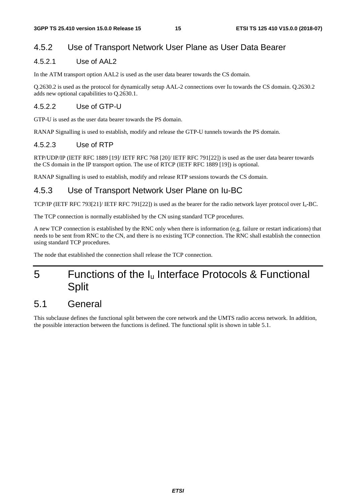### 4.5.2 Use of Transport Network User Plane as User Data Bearer

#### 4.5.2.1 Use of AAL2

In the ATM transport option AAL2 is used as the user data bearer towards the CS domain.

Q.2630.2 is used as the protocol for dynamically setup AAL-2 connections over Iu towards the CS domain. Q.2630.2 adds new optional capabilities to Q.2630.1.

#### 4.5.2.2 Use of GTP-U

GTP-U is used as the user data bearer towards the PS domain.

RANAP Signalling is used to establish, modify and release the GTP-U tunnels towards the PS domain.

#### 4.5.2.3 Use of RTP

RTP/UDP/IP (IETF RFC 1889 [19]/ IETF RFC 768 [20]/ IETF RFC 791[22]) is used as the user data bearer towards the CS domain in the IP transport option. The use of RTCP (IETF RFC 1889 [19]) is optional.

RANAP Signalling is used to establish, modify and release RTP sessions towards the CS domain.

### 4.5.3 Use of Transport Network User Plane on Iu-BC

TCP/IP (IETF RFC 793[21]/ IETF RFC 791[22]) is used as the bearer for the radio network layer protocol over Iu-BC.

The TCP connection is normally established by the CN using standard TCP procedures.

A new TCP connection is established by the RNC only when there is information (e.g. failure or restart indications) that needs to be sent from RNC to the CN, and there is no existing TCP connection. The RNC shall establish the connection using standard TCP procedures.

The node that established the connection shall release the TCP connection.

# 5 Functions of the Iu Interface Protocols & Functional **Split**

### 5.1 General

This subclause defines the functional split between the core network and the UMTS radio access network. In addition, the possible interaction between the functions is defined. The functional split is shown in table 5.1.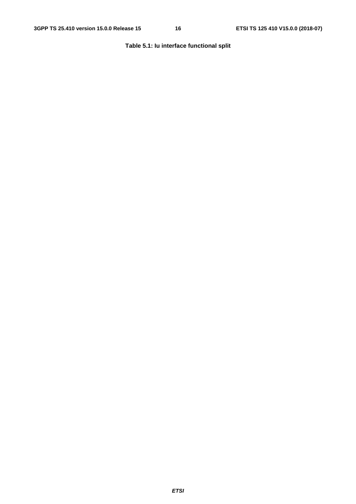#### **Table 5.1: Iu interface functional split**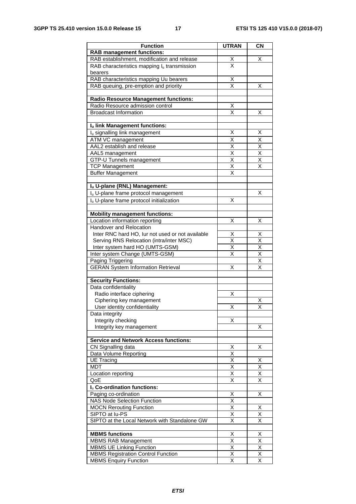| <b>Function</b>                                  | <b>UTRAN</b>            | <b>CN</b>               |
|--------------------------------------------------|-------------------------|-------------------------|
| <b>RAB management functions:</b>                 |                         |                         |
| RAB establishment, modification and release      | X                       | х                       |
| RAB characteristics mapping lu transmission      | X                       |                         |
| bearers                                          |                         |                         |
| RAB characteristics mapping Uu bearers           | X                       |                         |
| RAB queuing, pre-emption and priority            | $\overline{\mathsf{x}}$ | X                       |
|                                                  |                         |                         |
| <b>Radio Resource Management functions:</b>      |                         |                         |
| Radio Resource admission control                 | X                       |                         |
| <b>Broadcast Information</b>                     | $\overline{\mathsf{x}}$ | X                       |
|                                                  |                         |                         |
| Iu link Management functions:                    |                         |                         |
| I <sub>u</sub> signalling link management        | X                       | Χ                       |
| ATM VC management                                | Χ                       | X                       |
| AAL2 establish and release                       | Χ                       | Χ                       |
| AAL5 management                                  | Χ                       | X                       |
| GTP-U Tunnels management                         | $\overline{\mathsf{x}}$ | $\overline{\mathsf{x}}$ |
| <b>TCP Management</b>                            | X                       | X                       |
| <b>Buffer Management</b>                         | $\overline{\mathsf{x}}$ |                         |
|                                                  |                         |                         |
| Iu U-plane (RNL) Management:                     |                         |                         |
| I <sub>u</sub> U-plane frame protocol management |                         | х                       |
| Iu U-plane frame protocol initialization         | X                       |                         |
|                                                  |                         |                         |
| <b>Mobility management functions:</b>            |                         |                         |
| Location information reporting                   | х                       | X                       |
| Handover and Relocation                          |                         |                         |
| Inter RNC hard HO, lur not used or not available | х                       | х                       |
| Serving RNS Relocation (intra/inter MSC)         | X                       | X                       |
| Inter system hard HO (UMTS-GSM)                  | X                       | X                       |
| Inter system Change (UMTS-GSM)                   | X                       | $\overline{\mathsf{x}}$ |
| Paging Triggering                                |                         | Χ                       |
| <b>GERAN System Information Retrieval</b>        | Χ                       | Χ                       |
|                                                  |                         |                         |
| <b>Security Functions:</b>                       |                         |                         |
| Data confidentiality                             |                         |                         |
| Radio interface ciphering                        | Χ                       |                         |
| Ciphering key management                         |                         | х                       |
| User identity confidentiality                    | Х                       | Χ                       |
| Data integrity                                   |                         |                         |
| Integrity checking                               | x                       |                         |
| Integrity key management                         |                         | х                       |
|                                                  |                         |                         |
| <b>Service and Network Access functions:</b>     |                         |                         |
| CN Signalling data                               | х                       | X.                      |
| Data Volume Reporting                            | $\overline{\mathsf{x}}$ |                         |
| <b>UE Tracing</b>                                | X                       | Χ                       |
| <b>MDT</b>                                       | $\overline{\mathsf{x}}$ | $\overline{\mathsf{x}}$ |
| Location reporting                               | Χ                       | Χ                       |
| QoE                                              | $\overline{\mathsf{x}}$ | $\overline{\mathsf{x}}$ |
| Iu Co-ordination functions:                      |                         |                         |
| Paging co-ordination                             | Χ                       | Χ                       |
| <b>NAS Node Selection Function</b>               | Χ                       |                         |
| <b>MOCN Rerouting Function</b>                   | $\overline{\mathsf{x}}$ | Χ                       |
| SIPTO at lu-PS                                   | X                       | Χ                       |
| SIPTO at the Local Network with Standalone GW    | X                       | $\overline{\mathsf{x}}$ |
|                                                  |                         |                         |
| <b>MBMS functions</b>                            | Χ                       | X                       |
| <b>MBMS RAB Management</b>                       | $\overline{\mathsf{x}}$ | $\overline{\mathsf{x}}$ |
| <b>MBMS UE Linking Function</b>                  | Χ                       | Χ                       |
| <b>MBMS Registration Control Function</b>        | Χ                       | $\overline{\mathsf{x}}$ |
| <b>MBMS Enquiry Function</b>                     | $\overline{\mathsf{x}}$ | X                       |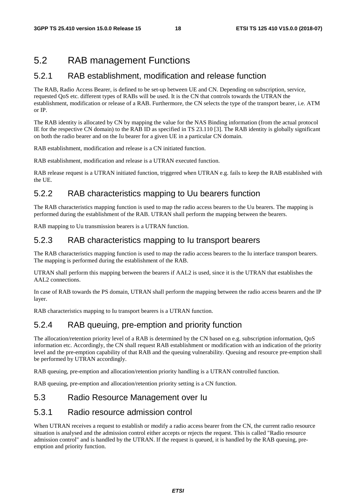# 5.2 RAB management Functions

#### 5.2.1 RAB establishment, modification and release function

The RAB, Radio Access Bearer, is defined to be set-up between UE and CN. Depending on subscription, service, requested QoS etc. different types of RABs will be used. It is the CN that controls towards the UTRAN the establishment, modification or release of a RAB. Furthermore, the CN selects the type of the transport bearer, i.e. ATM or IP.

The RAB identity is allocated by CN by mapping the value for the NAS Binding information (from the actual protocol IE for the respective CN domain) to the RAB ID as specified in TS 23.110 [3]. The RAB identity is globally significant on both the radio bearer and on the Iu bearer for a given UE in a particular CN domain.

RAB establishment, modification and release is a CN initiated function.

RAB establishment, modification and release is a UTRAN executed function.

RAB release request is a UTRAN initiated function, triggered when UTRAN e.g. fails to keep the RAB established with the UE.

### 5.2.2 RAB characteristics mapping to Uu bearers function

The RAB characteristics mapping function is used to map the radio access bearers to the Uu bearers. The mapping is performed during the establishment of the RAB. UTRAN shall perform the mapping between the bearers.

RAB mapping to Uu transmission bearers is a UTRAN function.

### 5.2.3 RAB characteristics mapping to Iu transport bearers

The RAB characteristics mapping function is used to map the radio access bearers to the Iu interface transport bearers. The mapping is performed during the establishment of the RAB.

UTRAN shall perform this mapping between the bearers if AAL2 is used, since it is the UTRAN that establishes the AAL2 connections.

In case of RAB towards the PS domain, UTRAN shall perform the mapping between the radio access bearers and the IP layer.

RAB characteristics mapping to Iu transport bearers is a UTRAN function.

### 5.2.4 RAB queuing, pre-emption and priority function

The allocation/retention priority level of a RAB is determined by the CN based on e.g. subscription information, QoS information etc. Accordingly, the CN shall request RAB establishment or modification with an indication of the priority level and the pre-emption capability of that RAB and the queuing vulnerability. Queuing and resource pre-emption shall be performed by UTRAN accordingly.

RAB queuing, pre-emption and allocation/retention priority handling is a UTRAN controlled function.

RAB queuing, pre-emption and allocation/retention priority setting is a CN function.

#### 5.3 Radio Resource Management over Iu

#### 5.3.1 Radio resource admission control

When UTRAN receives a request to establish or modify a radio access bearer from the CN, the current radio resource situation is analysed and the admission control either accepts or rejects the request. This is called "Radio resource admission control" and is handled by the UTRAN. If the request is queued, it is handled by the RAB queuing, preemption and priority function.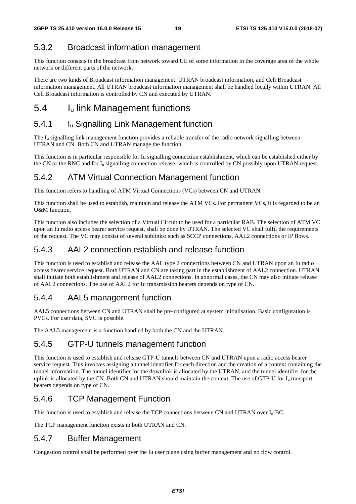### 5.3.2 Broadcast information management

This function consists in the broadcast from network toward UE of some information in the coverage area of the whole network or different parts of the network.

There are two kinds of Broadcast information management. UTRAN broadcast information, and Cell Broadcast information management. All UTRAN broadcast information management shall be handled locally within UTRAN. All Cell Broadcast information is controlled by CN and executed by UTRAN.

### 5.4 Iu link Management functions

### 5.4.1 Iu Signalling Link Management function

The Iu signalling link management function provides a reliable transfer of the radio network signalling between UTRAN and CN. Both CN and UTRAN manage the function.

This function is in particular responsible for Iu signalling connection establishment, which can be established either by the CN or the RNC and for I<sub>u</sub> signalling connection release, which is controlled by CN possibly upon UTRAN request.

### 5.4.2 ATM Virtual Connection Management function

This function refers to handling of ATM Virtual Connections (VCs) between CN and UTRAN.

This function shall be used to establish, maintain and release the ATM VCs. For permanent VCs, it is regarded to be an O&M function.

This function also includes the selection of a Virtual Circuit to be used for a particular RAB. The selection of ATM VC upon an Iu radio access bearer service request, shall be done by UTRAN. The selected VC shall fulfil the requirements of the request. The VC may consist of several sublinks: such as SCCP connections, AAL2 connections or IP flows.

### 5.4.3 AAL2 connection establish and release function

This function is used to establish and release the AAL type 2 connections between CN and UTRAN upon an Iu radio access bearer service request. Both UTRAN and CN are taking part in the establishment of AAL2 connection. UTRAN shall initiate both establishment and release of AAL2 connections. In abnormal cases, the CN may also initiate release of AAL2 connections. The use of AAL2 for Iu transmission bearers depends on type of CN.

#### 5.4.4 AAL5 management function

AAL5 connections between CN and UTRAN shall be pre-configured at system initialisation. Basic configuration is PVCs. For user data, SVC is possible.

The AAL5 management is a function handled by both the CN and the UTRAN.

### 5.4.5 GTP-U tunnels management function

This function is used to establish and release GTP-U tunnels between CN and UTRAN upon a radio access bearer service request. This involves assigning a tunnel identifier for each direction and the creation of a context containing the tunnel information. The tunnel identifier for the downlink is allocated by the UTRAN, and the tunnel identifier for the uplink is allocated by the CN. Both CN and UTRAN should maintain the context. The use of GTP-U for I<sub>u</sub> transport bearers depends on type of CN.

### 5.4.6 TCP Management Function

This function is used to establish and release the TCP connections between CN and UTRAN over Iu-BC.

The TCP management function exists in both UTRAN and CN.

### 5.4.7 Buffer Management

Congestion control shall be performed over the Iu user plane using buffer management and no flow control.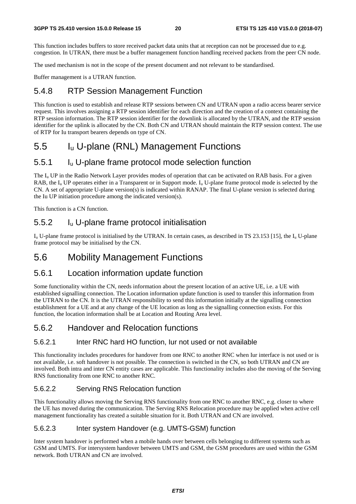This function includes buffers to store received packet data units that at reception can not be processed due to e.g. congestion. In UTRAN, there must be a buffer management function handling received packets from the peer CN node.

The used mechanism is not in the scope of the present document and not relevant to be standardised.

Buffer management is a UTRAN function.

#### 5.4.8 RTP Session Management Function

This function is used to establish and release RTP sessions between CN and UTRAN upon a radio access bearer service request. This involves assigning a RTP session identifier for each direction and the creation of a context containing the RTP session information. The RTP session identifier for the downlink is allocated by the UTRAN, and the RTP session identifier for the uplink is allocated by the CN. Both CN and UTRAN should maintain the RTP session context. The use of RTP for Iu transport bearers depends on type of CN.

### 5.5 Iu U-plane (RNL) Management Functions

#### 5.5.1 Iu U-plane frame protocol mode selection function

The  $I_u$  UP in the Radio Network Layer provides modes of operation that can be activated on RAB basis. For a given RAB, the  $I_u$  UP operates either in a Transparent or in Support mode.  $I_u$  U-plane frame protocol mode is selected by the CN. A set of appropriate U-plane version(s) is indicated within RANAP. The final U-plane version is selected during the Iu UP initiation procedure among the indicated version(s).

This function is a CN function.

#### 5.5.2 Iu U-plane frame protocol initialisation

Iu U-plane frame protocol is initialised by the UTRAN. In certain cases, as described in TS 23.153 [15], the Iu U-plane frame protocol may be initialised by the CN.

### 5.6 Mobility Management Functions

#### 5.6.1 Location information update function

Some functionality within the CN, needs information about the present location of an active UE, i.e. a UE with established signalling connection. The Location information update function is used to transfer this information from the UTRAN to the CN. It is the UTRAN responsibility to send this information initially at the signalling connection establishment for a UE and at any change of the UE location as long as the signalling connection exists. For this function, the location information shall be at Location and Routing Area level.

#### 5.6.2 Handover and Relocation functions

#### 5.6.2.1 Inter RNC hard HO function, Iur not used or not available

This functionality includes procedures for handover from one RNC to another RNC when Iur interface is not used or is not available, i.e. soft handover is not possible. The connection is switched in the CN, so both UTRAN and CN are involved. Both intra and inter CN entity cases are applicable. This functionality includes also the moving of the Serving RNS functionality from one RNC to another RNC.

#### 5.6.2.2 Serving RNS Relocation function

This functionality allows moving the Serving RNS functionality from one RNC to another RNC, e.g. closer to where the UE has moved during the communication. The Serving RNS Relocation procedure may be applied when active cell management functionality has created a suitable situation for it. Both UTRAN and CN are involved.

#### 5.6.2.3 Inter system Handover (e.g. UMTS-GSM) function

Inter system handover is performed when a mobile hands over between cells belonging to different systems such as GSM and UMTS. For intersystem handover between UMTS and GSM, the GSM procedures are used within the GSM network. Both UTRAN and CN are involved.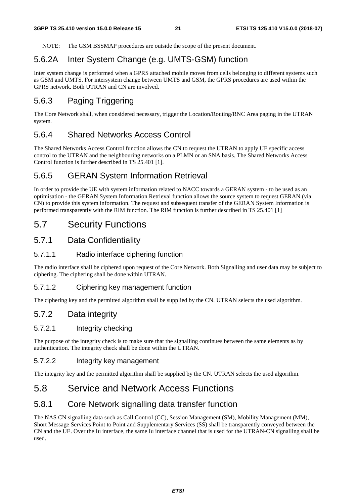NOTE: The GSM BSSMAP procedures are outside the scope of the present document.

### 5.6.2A Inter System Change (e.g. UMTS-GSM) function

Inter system change is performed when a GPRS attached mobile moves from cells belonging to different systems such as GSM and UMTS. For intersystem change between UMTS and GSM, the GPRS procedures are used within the GPRS network. Both UTRAN and CN are involved.

### 5.6.3 Paging Triggering

The Core Network shall, when considered necessary, trigger the Location/Routing/RNC Area paging in the UTRAN system.

#### 5.6.4 Shared Networks Access Control

The Shared Networks Access Control function allows the CN to request the UTRAN to apply UE specific access control to the UTRAN and the neighbouring networks on a PLMN or an SNA basis. The Shared Networks Access Control function is further described in TS 25.401 [1].

#### 5.6.5 GERAN System Information Retrieval

In order to provide the UE with system information related to NACC towards a GERAN system - to be used as an optimisation - the GERAN System Information Retrieval function allows the source system to request GERAN (via CN) to provide this system information. The request and subsequent transfer of the GERAN System Information is performed transparently with the RIM function. The RIM function is further described in TS 25.401 [1]

### 5.7 Security Functions

#### 5.7.1 Data Confidentiality

#### 5.7.1.1 Radio interface ciphering function

The radio interface shall be ciphered upon request of the Core Network. Both Signalling and user data may be subject to ciphering. The ciphering shall be done within UTRAN.

#### 5.7.1.2 Ciphering key management function

The ciphering key and the permitted algorithm shall be supplied by the CN. UTRAN selects the used algorithm.

#### 5.7.2 Data integrity

#### 5.7.2.1 Integrity checking

The purpose of the integrity check is to make sure that the signalling continues between the same elements as by authentication. The integrity check shall be done within the UTRAN.

#### 5.7.2.2 Integrity key management

The integrity key and the permitted algorithm shall be supplied by the CN. UTRAN selects the used algorithm.

### 5.8 Service and Network Access Functions

#### 5.8.1 Core Network signalling data transfer function

The NAS CN signalling data such as Call Control (CC), Session Management (SM), Mobility Management (MM), Short Message Services Point to Point and Supplementary Services (SS) shall be transparently conveyed between the CN and the UE. Over the Iu interface, the same Iu interface channel that is used for the UTRAN-CN signalling shall be used.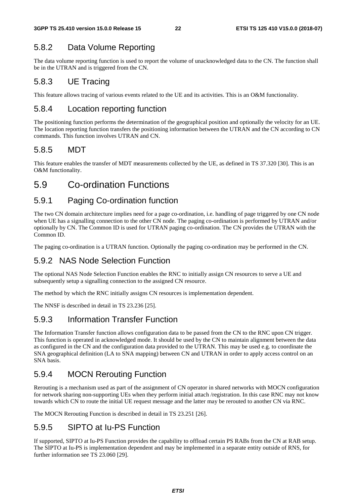### 5.8.2 Data Volume Reporting

The data volume reporting function is used to report the volume of unacknowledged data to the CN. The function shall be in the UTRAN and is triggered from the CN.

### 5.8.3 UE Tracing

This feature allows tracing of various events related to the UE and its activities. This is an O&M functionality.

### 5.8.4 Location reporting function

The positioning function performs the determination of the geographical position and optionally the velocity for an UE. The location reporting function transfers the positioning information between the UTRAN and the CN according to CN commands. This function involves UTRAN and CN.

### 5.8.5 MDT

This feature enables the transfer of MDT measurements collected by the UE, as defined in TS 37.320 [30]. This is an O&M functionality.

### 5.9 Co-ordination Functions

### 5.9.1 Paging Co-ordination function

The two CN domain architecture implies need for a page co-ordination, i.e. handling of page triggered by one CN node when UE has a signalling connection to the other CN node. The paging co-ordination is performed by UTRAN and/or optionally by CN. The Common ID is used for UTRAN paging co-ordination. The CN provides the UTRAN with the Common ID.

The paging co-ordination is a UTRAN function. Optionally the paging co-ordination may be performed in the CN.

### 5.9.2 NAS Node Selection Function

The optional NAS Node Selection Function enables the RNC to initially assign CN resources to serve a UE and subsequently setup a signalling connection to the assigned CN resource.

The method by which the RNC initially assigns CN resources is implementation dependent.

The NNSF is described in detail in TS 23.236 [25].

### 5.9.3 Information Transfer Function

The Information Transfer function allows configuration data to be passed from the CN to the RNC upon CN trigger. This function is operated in acknowledged mode. It should be used by the CN to maintain alignment between the data as configured in the CN and the configuration data provided to the UTRAN. This may be used e.g. to coordinate the SNA geographical definition (LA to SNA mapping) between CN and UTRAN in order to apply access control on an SNA basis.

### 5.9.4 MOCN Rerouting Function

Rerouting is a mechanism used as part of the assignment of CN operator in shared networks with MOCN configuration for network sharing non-supporting UEs when they perform initial attach /registration. In this case RNC may not know towards which CN to route the initial UE request message and the latter may be rerouted to another CN via RNC.

The MOCN Rerouting Function is described in detail in TS 23.251 [26].

### 5.9.5 SIPTO at Iu-PS Function

If supported, SIPTO at Iu-PS Function provides the capability to offload certain PS RABs from the CN at RAB setup. The SIPTO at Iu-PS is implementation dependent and may be implemented in a separate entity outside of RNS, for further information see TS 23.060 [29].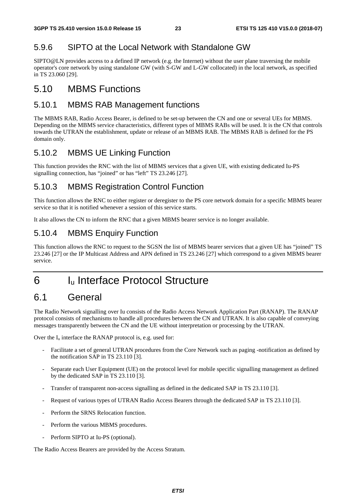### 5.9.6 SIPTO at the Local Network with Standalone GW

SIPTO@LN provides access to a defined IP network (e.g. the Internet) without the user plane traversing the mobile operator's core network by using standalone GW (with S-GW and L-GW collocated) in the local network, as specified in TS 23.060 [29].

### 5.10 MBMS Functions

#### 5.10.1 MBMS RAB Management functions

The MBMS RAB, Radio Access Bearer, is defined to be set-up between the CN and one or several UEs for MBMS. Depending on the MBMS service characteristics, different types of MBMS RABs will be used. It is the CN that controls towards the UTRAN the establishment, update or release of an MBMS RAB. The MBMS RAB is defined for the PS domain only.

### 5.10.2 MBMS UE Linking Function

This function provides the RNC with the list of MBMS services that a given UE, with existing dedicated Iu-PS signalling connection, has "joined" or has "left" TS 23.246 [27].

#### 5.10.3 MBMS Registration Control Function

This function allows the RNC to either register or deregister to the PS core network domain for a specific MBMS bearer service so that it is notified whenever a session of this service starts.

It also allows the CN to inform the RNC that a given MBMS bearer service is no longer available.

### 5.10.4 MBMS Enquiry Function

This function allows the RNC to request to the SGSN the list of MBMS bearer services that a given UE has "joined" TS 23.246 [27] or the IP Multicast Address and APN defined in TS 23.246 [27] which correspond to a given MBMS bearer service.

# 6 I<sub>u</sub> Interface Protocol Structure

# 6.1 General

The Radio Network signalling over Iu consists of the Radio Access Network Application Part (RANAP). The RANAP protocol consists of mechanisms to handle all procedures between the CN and UTRAN. It is also capable of conveying messages transparently between the CN and the UE without interpretation or processing by the UTRAN.

Over the  $I_u$  interface the RANAP protocol is, e.g. used for:

- Facilitate a set of general UTRAN procedures from the Core Network such as paging -notification as defined by the notification SAP in TS 23.110 [3].
- Separate each User Equipment (UE) on the protocol level for mobile specific signalling management as defined by the dedicated SAP in TS 23.110 [3].
- Transfer of transparent non-access signalling as defined in the dedicated SAP in TS 23.110 [3].
- Request of various types of UTRAN Radio Access Bearers through the dedicated SAP in TS 23.110 [3].
- Perform the SRNS Relocation function.
- Perform the various MBMS procedures.
- Perform SIPTO at Iu-PS (optional).

The Radio Access Bearers are provided by the Access Stratum.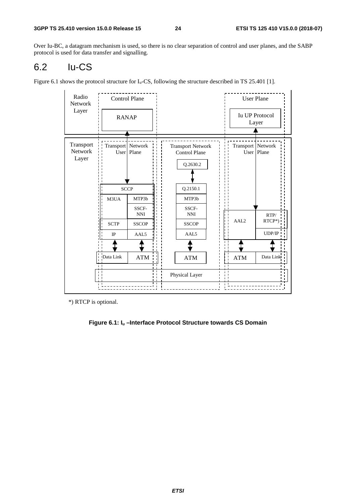Over Iu-BC, a datagram mechanism is used, so there is no clear separation of control and user planes, and the SABP protocol is used for data transfer and signalling.

# 6.2 Iu-CS

Figure 6.1 shows the protocol structure for  $I_u$ -CS, following the structure described in TS 25.401 [1].

| Radio<br>Network<br>Layer     |                                | <b>Control Plane</b>              |                                                              |                   | <b>User Plane</b>              |
|-------------------------------|--------------------------------|-----------------------------------|--------------------------------------------------------------|-------------------|--------------------------------|
|                               |                                | <b>RANAP</b>                      |                                                              |                   | <b>Iu UP Protocol</b><br>Layer |
| Transport<br>Network<br>Layer |                                | Transport Network<br>User   Plane | <b>Transport Network</b><br><b>Control Plane</b><br>Q.2630.2 | Transport Network | User   Plane                   |
|                               |                                | <b>SCCP</b>                       | Q.2150.1                                                     |                   |                                |
|                               | M3UA                           | MTP3b                             | MTP3b                                                        |                   |                                |
|                               |                                | SSCF-<br>$\mathbf{NNI}$           | SSCF-<br><b>NNI</b>                                          |                   | RTP/                           |
|                               | <b>SCTP</b>                    | <b>SSCOP</b>                      | <b>SSCOP</b>                                                 | AAL <sub>2</sub>  | RTCP*)                         |
|                               | $_{\rm IP}$                    | AAL <sub>5</sub>                  | AAL5                                                         |                   | UDP/IP                         |
|                               |                                |                                   |                                                              |                   |                                |
|                               | Data Link<br>$\mathbf{L}$<br>п | <b>ATM</b>                        | <b>ATM</b>                                                   | <b>ATM</b>        | Data Link                      |
|                               |                                |                                   | Physical Layer                                               |                   |                                |
|                               |                                |                                   |                                                              |                   |                                |

\*) RTCP is optional.

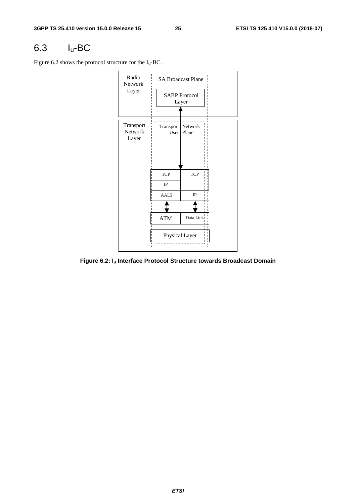### 6.3 Iu-BC

Figure 6.2 shows the protocol structure for the Iu-BC.



**Figure 6.2: Iu Interface Protocol Structure towards Broadcast Domain**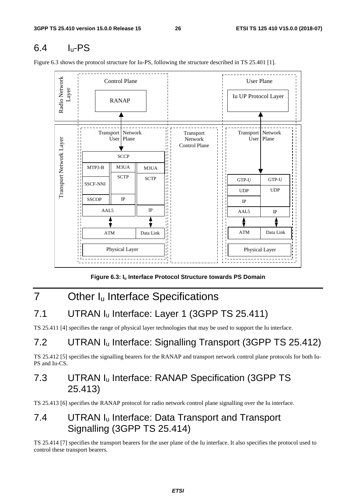# $6.4$   $I_{\text{u}}$ -PS



Figure 6.3 shows the protocol structure for Iu-PS, following the structure described in TS 25.401 [1].

**Figure 6.3: Iu Interface Protocol Structure towards PS Domain** 

# 7 Other I<sub>u</sub> Interface Specifications

# 7.1 UTRAN Iu Interface: Layer 1 (3GPP TS 25.411)

TS 25.411 [4] specifies the range of physical layer technologies that may be used to support the Iu interface.

# 7.2 UTRAN I<sub>u</sub> Interface: Signalling Transport (3GPP TS 25.412)

TS 25.412 [5] specifies the signalling bearers for the RANAP and transport network control plane protocols for both Iu-PS and Iu-CS.

# 7.3 UTRAN Iu Interface: RANAP Specification (3GPP TS 25.413)

TS 25.413 [6] specifies the RANAP protocol for radio network control plane signalling over the Iu interface.

## 7.4 UTRAN Iu Interface: Data Transport and Transport Signalling (3GPP TS 25.414)

TS 25.414 [7] specifies the transport bearers for the user plane of the Iu interface. It also specifies the protocol used to control these transport bearers.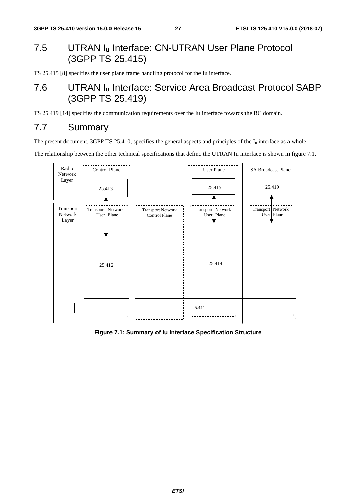# 7.5 UTRAN Iu Interface: CN-UTRAN User Plane Protocol (3GPP TS 25.415)

TS 25.415 [8] specifies the user plane frame handling protocol for the Iu interface.

### 7.6 UTRAN Iu Interface: Service Area Broadcast Protocol SABP (3GPP TS 25.419)

TS 25.419 [14] specifies the communication requirements over the Iu interface towards the BC domain.

### 7.7 Summary

The present document, 3GPP TS 25.410, specifies the general aspects and principles of the  $I_u$  interface as a whole.

The relationship between the other technical specifications that define the UTRAN Iu interface is shown in figure 7.1.



**Figure 7.1: Summary of Iu Interface Specification Structure**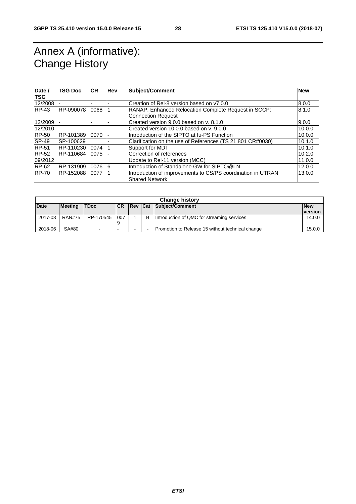# Annex A (informative): Change History

| Date /<br><b>TSG</b> | <b>TSG Doc</b> | <b>ICR</b> | <b>Rev</b> | <b>Subject/Comment</b>                                                               | <b>New</b> |
|----------------------|----------------|------------|------------|--------------------------------------------------------------------------------------|------------|
| 12/2008              |                |            |            | Creation of Rel-8 version based on y7.0.0                                            | 8.0.0      |
| $RP-43$              | RP-090078      | 0068       |            | RANAP: Enhanced Relocation Complete Request in SCCP:                                 | 8.1.0      |
|                      |                |            |            | <b>Connection Request</b>                                                            |            |
| 12/2009              |                |            |            | Created version 9.0.0 based on y, 8.1.0                                              | 9.0.0      |
| 12/2010              |                |            |            | Created version 10.0.0 based on y. 9.0.0                                             | 10.0.0     |
| <b>RP-50</b>         | RP-101389      | 0070       |            | Introduction of the SIPTO at Iu-PS Function                                          | 10.0.0     |
| SP-49                | SP-100629      |            |            | Clarification on the use of References (TS 21.801 CR#0030)                           | 10.1.0     |
| <b>RP-51</b>         | RP-110230      | 0074       |            | Support for MDT                                                                      | 10.1.0     |
| <b>RP-52</b>         | RP-110684      | 0075       |            | Correction of references                                                             | 10.2.0     |
| 09/2012              |                |            |            | Update to Rel-11 version (MCC)                                                       | 11.0.0     |
| $RP-62$              | RP-131909      | 0076       | <b>6</b>   | Introduction of Standalone GW for SIPTO@LN                                           | 12.0.0     |
| <b>RP-70</b>         | RP-152088      | 0077       |            | Introduction of improvements to CS/PS coordination in UTRAN<br><b>Shared Network</b> | 13.0.0     |

| <b>Change history</b> |                |             |            |                |   |                                                  |            |
|-----------------------|----------------|-------------|------------|----------------|---|--------------------------------------------------|------------|
| <b>Date</b>           | <b>Meeting</b> | <b>TDoc</b> | <b>ICR</b> | <b>Rev Cat</b> |   | Subject/Comment                                  | <b>New</b> |
|                       |                |             |            |                |   |                                                  | version    |
| 2017-03               | <b>RAN#75</b>  | RP-170545   | 007<br>19  |                | B | Introduction of QMC for streaming services       | 14.0.0     |
| 2018-06               | SA#80          |             | -          |                |   | Promotion to Release 15 without technical change | 15.0.0     |